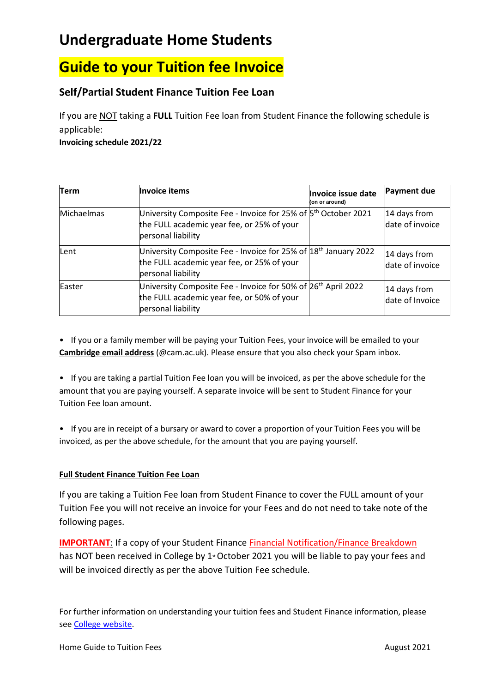## **Undergraduate Home Students**

# **Guide to your Tuition fee Invoice**

### **Self/Partial Student Finance Tuition Fee Loan**

If you are NOT taking a **FULL** Tuition Fee loan from Student Finance the following schedule is applicable:

**Invoicing schedule 2021/22**

| <b>Term</b> | Invoice items                                                                                                                                  | Invoice issue date<br>(on or around) | Payment due                     |
|-------------|------------------------------------------------------------------------------------------------------------------------------------------------|--------------------------------------|---------------------------------|
| Michaelmas  | University Composite Fee - Invoice for 25% of 5 <sup>th</sup> October 2021<br>the FULL academic year fee, or 25% of your<br>personal liability |                                      | 14 days from<br>date of invoice |
| Lent        | University Composite Fee - Invoice for 25% of $18th$ January 2022<br>the FULL academic year fee, or 25% of your<br>personal liability          |                                      | 14 days from<br>date of invoice |
| Easter      | University Composite Fee - Invoice for 50% of 26 <sup>th</sup> April 2022<br>the FULL academic year fee, or 50% of your<br>personal liability  |                                      | 14 days from<br>date of Invoice |

• If you or a family member will be paying your Tuition Fees, your invoice will be emailed to your **Cambridge email address** (@cam.ac.uk). Please ensure that you also check your Spam inbox.

• If you are taking a partial Tuition Fee loan you will be invoiced, as per the above schedule for the amount that you are paying yourself. A separate invoice will be sent to Student Finance for your Tuition Fee loan amount.

• If you are in receipt of a bursary or award to cover a proportion of your Tuition Fees you will be invoiced, as per the above schedule, for the amount that you are paying yourself.

#### **Full Student Finance Tuition Fee Loan**

If you are taking a Tuition Fee loan from Student Finance to cover the FULL amount of your Tuition Fee you will not receive an invoice for your Fees and do not need to take note of the following pages.

**IMPORTANT:** If a copy of your Student Finance **Financial Notification/Finance Breakdown** has NOT been received in College by 1<sup>st</sup> October 2021 you will be liable to pay your fees and will be invoiced directly as per the above Tuition Fee schedule.

For further information on understanding your tuition fees and Student Finance information, please se[e College website.](https://www.murrayedwards.cam.ac.uk/college-life/finance-and-funding/student-finance)